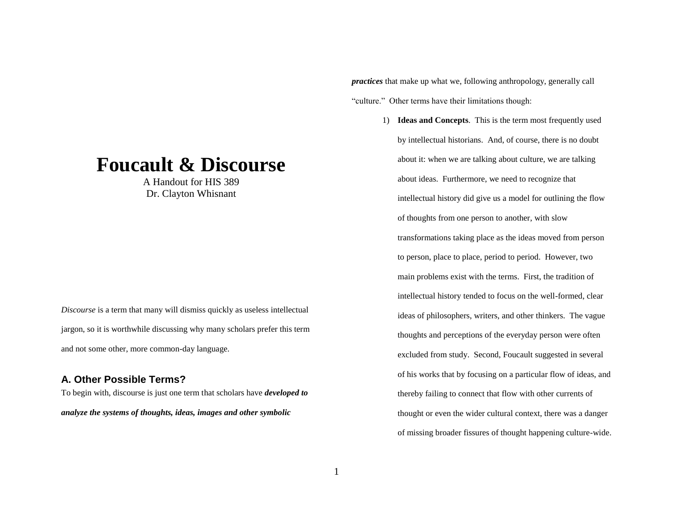# **Foucault & Discourse**

A Handout for HIS 389 Dr. Clayton Whisnant

*Discourse* is a term that many will dismiss quickly as useless intellectual jargon, so it is worthwhile discussing why many scholars prefer this term and not some other, more common-day language.

#### **A. Other Possible Terms?**

To begin with, discourse is just one term that scholars have *developed to analyze the systems of thoughts, ideas, images and other symbolic* 

*practices* that make up what we, following anthropology, generally call "culture." Other terms have their limitations though:

> 1) **Ideas and Concepts**. This is the term most frequently used by intellectual historians. And, of course, there is no doubt about it: when we are talking about culture, we are talking about ideas. Furthermore, we need to recognize that intellectual history did give us a model for outlining the flow of thoughts from one person to another, with slow transformations taking place as the ideas moved from person to person, place to place, period to period. However, two main problems exist with the terms. First, the tradition of intellectual history tended to focus on the well-formed, clear ideas of philosophers, writers, and other thinkers. The vague thoughts and perceptions of the everyday person were often excluded from study. Second, Foucault suggested in several of his works that by focusing on a particular flow of ideas, and thereby failing to connect that flow with other currents of thought or even the wider cultural context, there was a danger of missing broader fissures of thought happening culture-wide.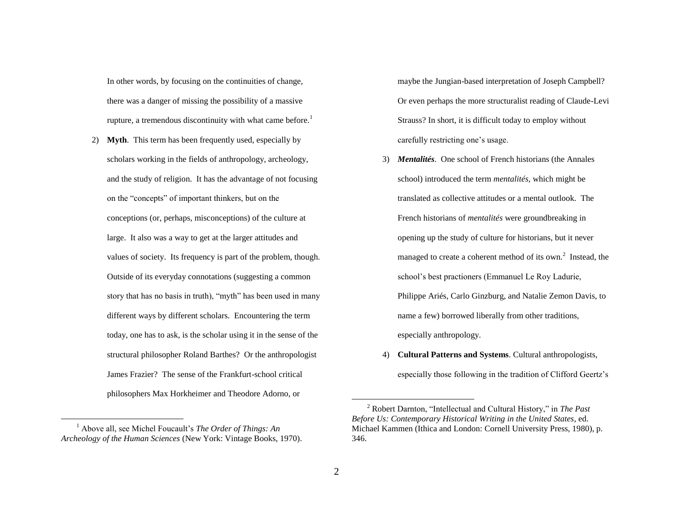In other words, by focusing on the continuities of change, there was a danger of missing the possibility of a massive rupture, a tremendous discontinuity with what came before.<sup>1</sup>

2) **Myth**. This term has been frequently used, especially by scholars working in the fields of anthropology, archeology, and the study of religion. It has the advantage of not focusing on the "concepts" of important thinkers, but on the conceptions (or, perhaps, misconceptions) of the culture at large. It also was a way to get at the larger attitudes and values of society. Its frequency is part of the problem, though. Outside of its everyday connotations (suggesting a common story that has no basis in truth), "myth" has been used in many different ways by different scholars. Encountering the term today, one has to ask, is the scholar using it in the sense of the structural philosopher Roland Barthes? Or the anthropologist James Frazier? The sense of the Frankfurt-school critical philosophers Max Horkheimer and Theodore Adorno, or

 $\overline{a}$ 

maybe the Jungian-based interpretation of Joseph Campbell? Or even perhaps the more structuralist reading of Claude-Levi Strauss? In short, it is difficult today to employ without carefully restricting one's usage.

- 3) *Mentalités*. One school of French historians (the Annales school) introduced the term *mentalités*, which might be translated as collective attitudes or a mental outlook. The French historians of *mentalités* were groundbreaking in opening up the study of culture for historians, but it never managed to create a coherent method of its own.<sup>2</sup> Instead, the school's best practioners (Emmanuel Le Roy Ladurie, Philippe Ariés, Carlo Ginzburg, and Natalie Zemon Davis, to name a few) borrowed liberally from other traditions, especially anthropology.
- 4) **Cultural Patterns and Systems**. Cultural anthropologists, especially those following in the tradition of Clifford Geertz's

<sup>1</sup> Above all, see Michel Foucault's *The Order of Things: An Archeology of the Human Sciences* (New York: Vintage Books, 1970).

<sup>2</sup> Robert Darnton, "Intellectual and Cultural History," in *The Past Before Us: Contemporary Historical Writing in the United States*, ed. Michael Kammen (Ithica and London: Cornell University Press, 1980), p. 346.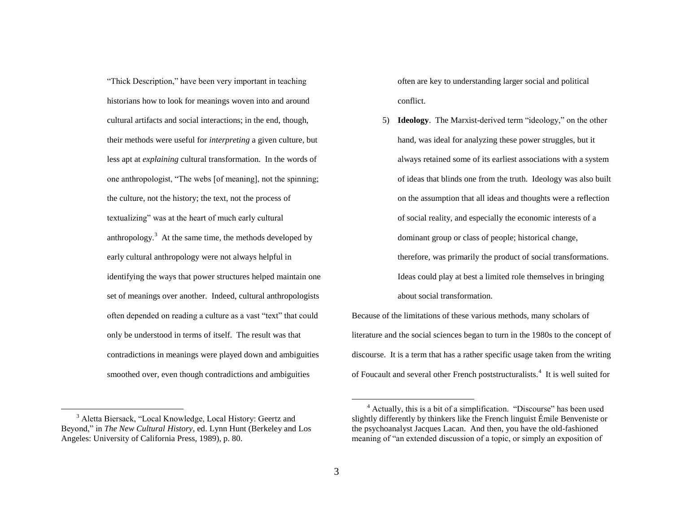"Thick Description," have been very important in teaching historians how to look for meanings woven into and around cultural artifacts and social interactions; in the end, though, their methods were useful for *interpreting* a given culture, but less apt at *explaining* cultural transformation. In the words of one anthropologist, "The webs [of meaning], not the spinning; the culture, not the history; the text, not the process of textualizing" was at the heart of much early cultural anthropology.<sup>3</sup> At the same time, the methods developed by early cultural anthropology were not always helpful in identifying the ways that power structures helped maintain one set of meanings over another. Indeed, cultural anthropologists often depended on reading a culture as a vast "text" that could only be understood in terms of itself. The result was that contradictions in meanings were played down and ambiguities smoothed over, even though contradictions and ambiguities

often are key to understanding larger social and political conflict.

5) **Ideology**. The Marxist-derived term "ideology," on the other hand, was ideal for analyzing these power struggles, but it always retained some of its earliest associations with a system of ideas that blinds one from the truth. Ideology was also built on the assumption that all ideas and thoughts were a reflection of social reality, and especially the economic interests of a dominant group or class of people; historical change, therefore, was primarily the product of social transformations. Ideas could play at best a limited role themselves in bringing about social transformation.

Because of the limitations of these various methods, many scholars of literature and the social sciences began to turn in the 1980s to the concept of discourse. It is a term that has a rather specific usage taken from the writing of Foucault and several other French poststructuralists.<sup>4</sup> It is well suited for

 $\overline{a}$ 

<sup>3</sup> Aletta Biersack, "Local Knowledge, Local History: Geertz and Beyond," in *The New Cultural History*, ed. Lynn Hunt (Berkeley and Los Angeles: University of California Press, 1989), p. 80.

<sup>4</sup> Actually, this is a bit of a simplification. "Discourse" has been used slightly differently by thinkers like the French linguist Émile Benveniste or the psychoanalyst Jacques Lacan. And then, you have the old-fashioned meaning of "an extended discussion of a topic, or simply an exposition of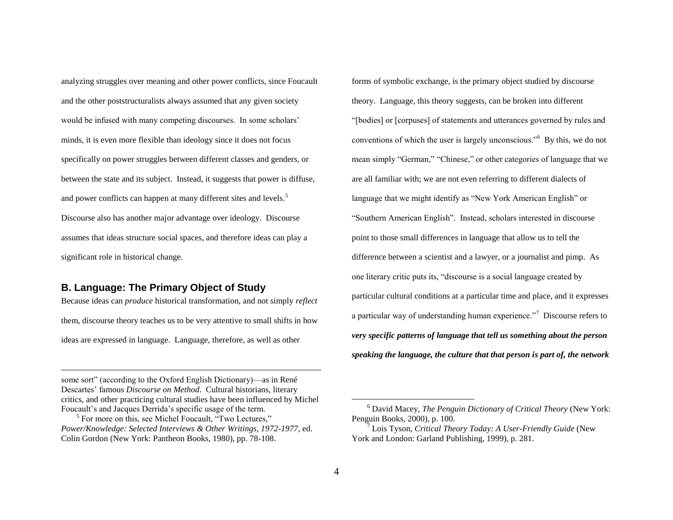analyzing struggles over meaning and other power conflicts, since Foucault and the other poststructuralists always assumed that any given society would be infused with many competing discourses. In some scholars' minds, it is even more flexible than ideology since it does not focus specifically on power struggles between different classes and genders, or between the state and its subject. Instead, it suggests that power is diffuse, and power conflicts can happen at many different sites and levels.<sup>5</sup> Discourse also has another major advantage over ideology. Discourse assumes that ideas structure social spaces, and therefore ideas can play a significant role in historical change.

# **B. Language: The Primary Object of Study**

 $\overline{a}$ 

Because ideas can *produce* historical transformation, and not simply *reflect* them, discourse theory teaches us to be very attentive to small shifts in how ideas are expressed in language. Language, therefore, as well as other

some sort" (according to the Oxford English Dictionary)—as in René Descartes' famous *Discourse on Method*. Cultural historians, literary critics, and other practicing cultural studies have been influenced by Michel Foucault's and Jacques Derrida's specific usage of the term.

forms of symbolic exchange, is the primary object studied by discourse theory. Language, this theory suggests, can be broken into different "[bodies] or [corpuses] of statements and utterances governed by rules and conventions of which the user is largely unconscious."<sup>6</sup> By this, we do not mean simply "German," "Chinese," or other categories of language that we are all familiar with; we are not even referring to different dialects of language that we might identify as "New York American English" or "Southern American English". Instead, scholars interested in discourse point to those small differences in language that allow us to tell the difference between a scientist and a lawyer, or a journalist and pimp. As one literary critic puts its, "discourse is a social language created by particular cultural conditions at a particular time and place, and it expresses a particular way of understanding human experience."<sup>7</sup> Discourse refers to *very specific patterns of language that tell us something about the person speaking the language, the culture that that person is part of, the network* 

<sup>&</sup>lt;sup>5</sup> For more on this, see Michel Foucault, "Two Lectures," *Power/Knowledge: Selected Interviews & Other Writings, 1972-1977*, ed. Colin Gordon (New York: Pantheon Books, 1980), pp. 78-108.

<sup>6</sup> David Macey, *The Penguin Dictionary of Critical Theory* (New York: Penguin Books, 2000), p. 100.

<sup>7</sup> Lois Tyson, *Critical Theory Today: A User-Friendly Guide* (New York and London: Garland Publishing, 1999), p. 281.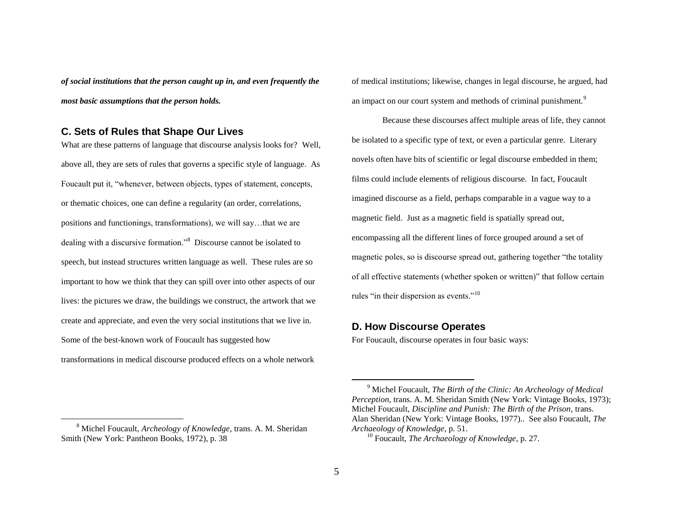*of social institutions that the person caught up in, and even frequently the most basic assumptions that the person holds.*

## **C. Sets of Rules that Shape Our Lives**

 $\overline{a}$ 

What are these patterns of language that discourse analysis looks for? Well, above all, they are sets of rules that governs a specific style of language. As Foucault put it, "whenever, between objects, types of statement, concepts, or thematic choices, one can define a regularity (an order, correlations, positions and functionings, transformations), we will say…that we are dealing with a discursive formation."<sup>8</sup> Discourse cannot be isolated to speech, but instead structures written language as well. These rules are so important to how we think that they can spill over into other aspects of our lives: the pictures we draw, the buildings we construct, the artwork that we create and appreciate, and even the very social institutions that we live in. Some of the best-known work of Foucault has suggested how transformations in medical discourse produced effects on a whole network

of medical institutions; likewise, changes in legal discourse, he argued, had an impact on our court system and methods of criminal punishment.<sup>9</sup>

Because these discourses affect multiple areas of life, they cannot be isolated to a specific type of text, or even a particular genre. Literary novels often have bits of scientific or legal discourse embedded in them; films could include elements of religious discourse. In fact, Foucault imagined discourse as a field, perhaps comparable in a vague way to a magnetic field. Just as a magnetic field is spatially spread out, encompassing all the different lines of force grouped around a set of magnetic poles, so is discourse spread out, gathering together "the totality of all effective statements (whether spoken or written)" that follow certain rules "in their dispersion as events."<sup>10</sup>

#### **D. How Discourse Operates**

For Foucault, discourse operates in four basic ways:

<sup>8</sup> Michel Foucault, *Archeology of Knowledge*, trans. A. M. Sheridan Smith (New York: Pantheon Books, 1972), p. 38

<sup>9</sup> Michel Foucault, *The Birth of the Clinic: An Archeology of Medical Perception*, trans. A. M. Sheridan Smith (New York: Vintage Books, 1973); Michel Foucault, *Discipline and Punish: The Birth of the Prison*, trans. Alan Sheridan (New York: Vintage Books, 1977).. See also Foucault, *The Archaeology of Knowledge*, p. 51.

<sup>10</sup> Foucault, *The Archaeology of Knowledge*, p. 27.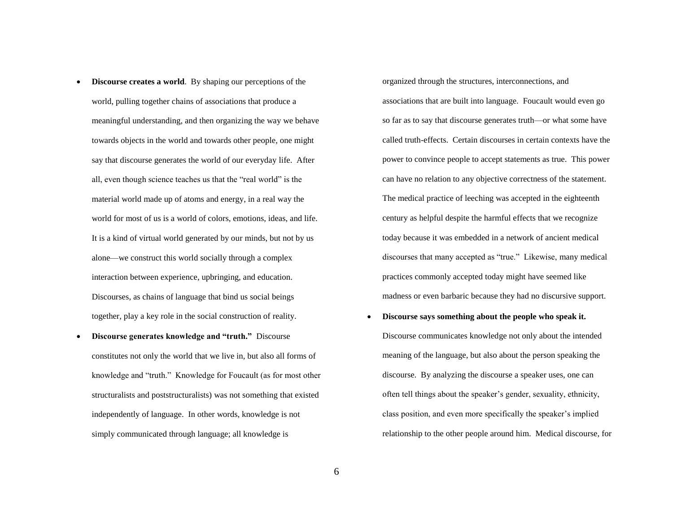- **Discourse creates a world**. By shaping our perceptions of the world, pulling together chains of associations that produce a meaningful understanding, and then organizing the way we behave towards objects in the world and towards other people, one might say that discourse generates the world of our everyday life. After all, even though science teaches us that the "real world" is the material world made up of atoms and energy, in a real way the world for most of us is a world of colors, emotions, ideas, and life. It is a kind of virtual world generated by our minds, but not by us alone—we construct this world socially through a complex interaction between experience, upbringing, and education. Discourses, as chains of language that bind us social beings together, play a key role in the social construction of reality.
- **Discourse generates knowledge and "truth."** Discourse constitutes not only the world that we live in, but also all forms of knowledge and "truth." Knowledge for Foucault (as for most other structuralists and poststructuralists) was not something that existed independently of language. In other words, knowledge is not simply communicated through language; all knowledge is

organized through the structures, interconnections, and associations that are built into language. Foucault would even go so far as to say that discourse generates truth—or what some have called truth-effects. Certain discourses in certain contexts have the power to convince people to accept statements as true. This power can have no relation to any objective correctness of the statement. The medical practice of leeching was accepted in the eighteenth century as helpful despite the harmful effects that we recognize today because it was embedded in a network of ancient medical discourses that many accepted as "true." Likewise, many medical practices commonly accepted today might have seemed like madness or even barbaric because they had no discursive support.

 **Discourse says something about the people who speak it.** Discourse communicates knowledge not only about the intended meaning of the language, but also about the person speaking the discourse. By analyzing the discourse a speaker uses, one can often tell things about the speaker's gender, sexuality, ethnicity, class position, and even more specifically the speaker's implied relationship to the other people around him. Medical discourse, for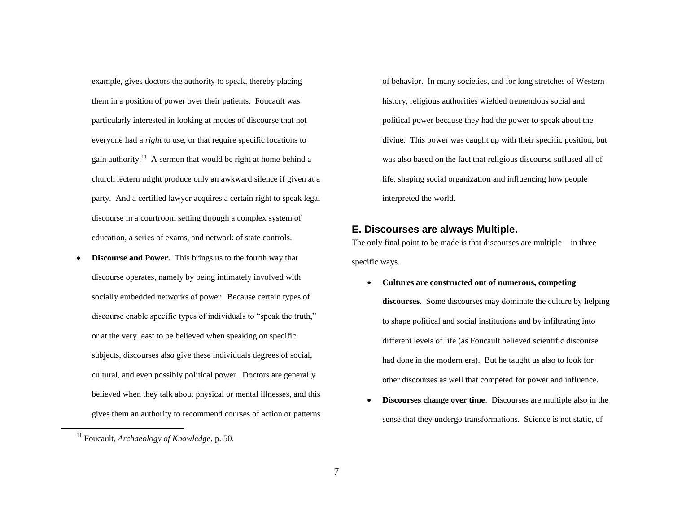example, gives doctors the authority to speak, thereby placing them in a position of power over their patients. Foucault was particularly interested in looking at modes of discourse that not everyone had a *right* to use, or that require specific locations to gain authority.<sup>11</sup> A sermon that would be right at home behind a church lectern might produce only an awkward silence if given at a party. And a certified lawyer acquires a certain right to speak legal discourse in a courtroom setting through a complex system of education, a series of exams, and network of state controls.

 **Discourse and Power.** This brings us to the fourth way that discourse operates, namely by being intimately involved with socially embedded networks of power. Because certain types of discourse enable specific types of individuals to "speak the truth," or at the very least to be believed when speaking on specific subjects, discourses also give these individuals degrees of social, cultural, and even possibly political power. Doctors are generally believed when they talk about physical or mental illnesses, and this gives them an authority to recommend courses of action or patterns

 $\overline{a}$ 

of behavior. In many societies, and for long stretches of Western history, religious authorities wielded tremendous social and political power because they had the power to speak about the divine. This power was caught up with their specific position, but was also based on the fact that religious discourse suffused all of life, shaping social organization and influencing how people interpreted the world.

### **E. Discourses are always Multiple.**

The only final point to be made is that discourses are multiple—in three specific ways.

- **Cultures are constructed out of numerous, competing discourses.** Some discourses may dominate the culture by helping to shape political and social institutions and by infiltrating into different levels of life (as Foucault believed scientific discourse had done in the modern era). But he taught us also to look for other discourses as well that competed for power and influence.
- **Discourses change over time**. Discourses are multiple also in the sense that they undergo transformations. Science is not static, of

<sup>11</sup> Foucault, *Archaeology of Knowledge*, p. 50.